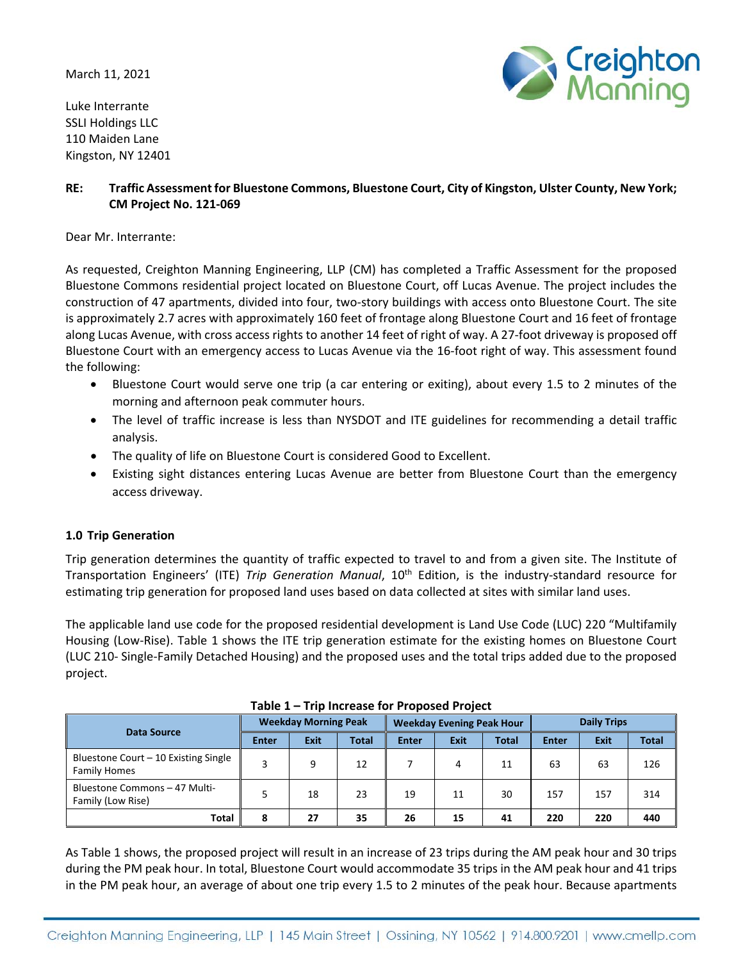March 11, 2021

Luke Interrante SSLI Holdings LLC 110 Maiden Lane Kingston, NY 12401



# **RE: Traffic Assessment for Bluestone Commons, Bluestone Court, City of Kingston, Ulster County, New York; CM Project No. 121‐069**

Dear Mr. Interrante:

As requested, Creighton Manning Engineering, LLP (CM) has completed a Traffic Assessment for the proposed Bluestone Commons residential project located on Bluestone Court, off Lucas Avenue. The project includes the construction of 47 apartments, divided into four, two-story buildings with access onto Bluestone Court. The site is approximately 2.7 acres with approximately 160 feet of frontage along Bluestone Court and 16 feet of frontage along Lucas Avenue, with cross access rights to another 14 feet of right of way. A 27‐foot driveway is proposed off Bluestone Court with an emergency access to Lucas Avenue via the 16‐foot right of way. This assessment found the following:

- Bluestone Court would serve one trip (a car entering or exiting), about every 1.5 to 2 minutes of the morning and afternoon peak commuter hours.
- The level of traffic increase is less than NYSDOT and ITE guidelines for recommending a detail traffic analysis.
- The quality of life on Bluestone Court is considered Good to Excellent.
- Existing sight distances entering Lucas Avenue are better from Bluestone Court than the emergency access driveway.

## **1.0 Trip Generation**

Trip generation determines the quantity of traffic expected to travel to and from a given site. The Institute of Transportation Engineers' (ITE) *Trip Generation Manual*, 10th Edition, is the industry‐standard resource for estimating trip generation for proposed land uses based on data collected at sites with similar land uses.

The applicable land use code for the proposed residential development is Land Use Code (LUC) 220 "Multifamily Housing (Low‐Rise). Table 1 shows the ITE trip generation estimate for the existing homes on Bluestone Court (LUC 210‐ Single‐Family Detached Housing) and the proposed uses and the total trips added due to the proposed project.

| <b>Data Source</b>                                          | <b>Weekday Morning Peak</b> |             |              | <b>Weekday Evening Peak Hour</b> |             |              | <b>Daily Trips</b> |      |              |  |
|-------------------------------------------------------------|-----------------------------|-------------|--------------|----------------------------------|-------------|--------------|--------------------|------|--------------|--|
|                                                             | <b>Enter</b>                | <b>Exit</b> | <b>Total</b> | <b>Enter</b>                     | <b>Exit</b> | <b>Total</b> | <b>Enter</b>       | Exit | <b>Total</b> |  |
| Bluestone Court - 10 Existing Single<br><b>Family Homes</b> | 3                           | 9           | 12           |                                  | 4           | 11           | 63                 | 63   | 126          |  |
| Bluestone Commons - 47 Multi-<br>Family (Low Rise)          | 5                           | 18          | 23           | 19                               | 11          | 30           | 157                | 157  | 314          |  |
| <b>Total</b>                                                | 8                           | 27          | 35           | 26                               | 15          | 41           | 220                | 220  | 440          |  |

As Table 1 shows, the proposed project will result in an increase of 23 trips during the AM peak hour and 30 trips during the PM peak hour. In total, Bluestone Court would accommodate 35 trips in the AM peak hour and 41 trips in the PM peak hour, an average of about one trip every 1.5 to 2 minutes of the peak hour. Because apartments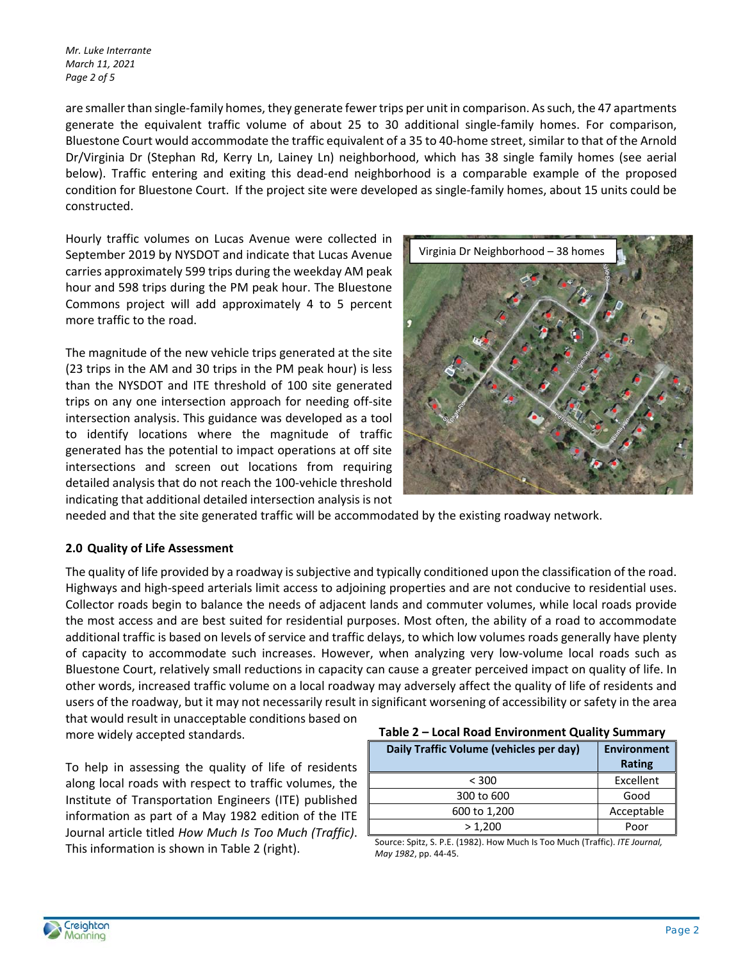*Mr. Luke Interrante March 11, 2021 Page 2 of 5* 

are smaller than single‐family homes, they generate fewer trips per unit in comparison. As such, the 47 apartments generate the equivalent traffic volume of about 25 to 30 additional single-family homes. For comparison, Bluestone Court would accommodate the traffic equivalent of a 35 to 40‐home street, similar to that of the Arnold Dr/Virginia Dr (Stephan Rd, Kerry Ln, Lainey Ln) neighborhood, which has 38 single family homes (see aerial below). Traffic entering and exiting this dead-end neighborhood is a comparable example of the proposed condition for Bluestone Court. If the project site were developed as single‐family homes, about 15 units could be constructed.

Hourly traffic volumes on Lucas Avenue were collected in September 2019 by NYSDOT and indicate that Lucas Avenue carries approximately 599 trips during the weekday AM peak hour and 598 trips during the PM peak hour. The Bluestone Commons project will add approximately 4 to 5 percent more traffic to the road.

The magnitude of the new vehicle trips generated at the site (23 trips in the AM and 30 trips in the PM peak hour) is less than the NYSDOT and ITE threshold of 100 site generated trips on any one intersection approach for needing off‐site intersection analysis. This guidance was developed as a tool to identify locations where the magnitude of traffic generated has the potential to impact operations at off site intersections and screen out locations from requiring detailed analysis that do not reach the 100‐vehicle threshold indicating that additional detailed intersection analysis is not



needed and that the site generated traffic will be accommodated by the existing roadway network.

## **2.0 Quality of Life Assessment**

The quality of life provided by a roadway is subjective and typically conditioned upon the classification of the road. Highways and high‐speed arterials limit access to adjoining properties and are not conducive to residential uses. Collector roads begin to balance the needs of adjacent lands and commuter volumes, while local roads provide the most access and are best suited for residential purposes. Most often, the ability of a road to accommodate additional traffic is based on levels of service and traffic delays, to which low volumes roads generally have plenty of capacity to accommodate such increases. However, when analyzing very low-volume local roads such as Bluestone Court, relatively small reductions in capacity can cause a greater perceived impact on quality of life. In other words, increased traffic volume on a local roadway may adversely affect the quality of life of residents and users of the roadway, but it may not necessarily result in significant worsening of accessibility or safety in the area that would result in unacceptable conditions based on

more widely accepted standards.

To help in assessing the quality of life of residents along local roads with respect to traffic volumes, the Institute of Transportation Engineers (ITE) published information as part of a May 1982 edition of the ITE Journal article titled *How Much Is Too Much (Traffic)*. This information is shown in Table 2 (right).

| Table 2 - Local Road Environment Quality Summary |
|--------------------------------------------------|
|--------------------------------------------------|

| Daily Traffic Volume (vehicles per day) | <b>Environment</b><br>Rating |  |  |  |  |
|-----------------------------------------|------------------------------|--|--|--|--|
| < 300                                   | Excellent                    |  |  |  |  |
| 300 to 600                              | Good                         |  |  |  |  |
| 600 to 1,200                            | Acceptable                   |  |  |  |  |
| > 1,200                                 | Poor                         |  |  |  |  |

Source: Spitz, S. P.E. (1982). How Much Is Too Much (Traffic). *ITE Journal, May 1982*, pp. 44‐45.

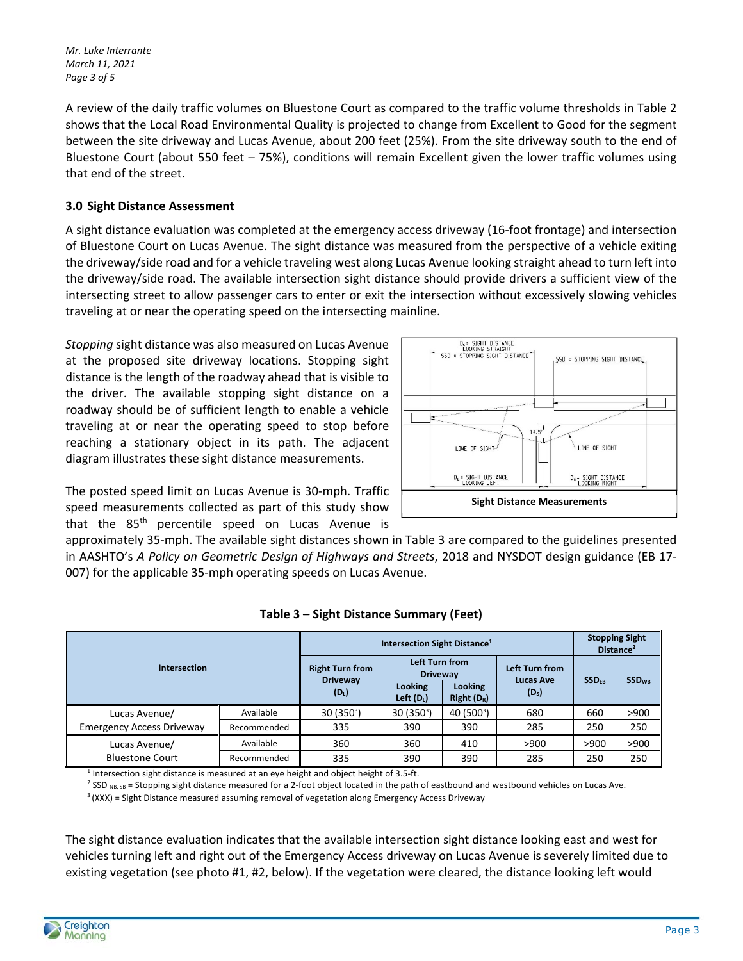*Mr. Luke Interrante March 11, 2021 Page 3 of 5* 

A review of the daily traffic volumes on Bluestone Court as compared to the traffic volume thresholds in Table 2 shows that the Local Road Environmental Quality is projected to change from Excellent to Good for the segment between the site driveway and Lucas Avenue, about 200 feet (25%). From the site driveway south to the end of Bluestone Court (about 550 feet – 75%), conditions will remain Excellent given the lower traffic volumes using that end of the street.

# **3.0 Sight Distance Assessment**

A sight distance evaluation was completed at the emergency access driveway (16‐foot frontage) and intersection of Bluestone Court on Lucas Avenue. The sight distance was measured from the perspective of a vehicle exiting the driveway/side road and for a vehicle traveling west along Lucas Avenue looking straight ahead to turn left into the driveway/side road. The available intersection sight distance should provide drivers a sufficient view of the intersecting street to allow passenger cars to enter or exit the intersection without excessively slowing vehicles traveling at or near the operating speed on the intersecting mainline.

*Stopping* sight distance was also measured on Lucas Avenue at the proposed site driveway locations. Stopping sight distance is the length of the roadway ahead that is visible to the driver. The available stopping sight distance on a roadway should be of sufficient length to enable a vehicle traveling at or near the operating speed to stop before reaching a stationary object in its path. The adjacent diagram illustrates these sight distance measurements.

The posted speed limit on Lucas Avenue is 30‐mph. Traffic speed measurements collected as part of this study show that the 85<sup>th</sup> percentile speed on Lucas Avenue is



approximately 35‐mph. The available sight distances shown in Table 3 are compared to the guidelines presented in AASHTO's *A Policy on Geometric Design of Highways and Streets*, 2018 and NYSDOT design guidance (EB 17‐ 007) for the applicable 35‐mph operating speeds on Lucas Avenue.

| Intersection                            |             | Intersection Sight Distance <sup>1</sup> |                                   |                                |                                       |                         | <b>Stopping Sight</b><br>Distance <sup>2</sup> |  |
|-----------------------------------------|-------------|------------------------------------------|-----------------------------------|--------------------------------|---------------------------------------|-------------------------|------------------------------------------------|--|
|                                         |             | <b>Right Turn from</b>                   | Left Turn from<br><b>Driveway</b> |                                | Left Turn from                        | <b>SSD<sub>EB</sub></b> | <b>SSD<sub>WB</sub></b>                        |  |
|                                         |             | <b>Driveway</b><br>$(D_1)$               | <b>Looking</b><br>Left $(D_L)$    | <b>Looking</b><br>$Right(D_R)$ | <b>Lucas Ave</b><br>(D <sub>s</sub> ) |                         |                                                |  |
| Lucas Avenue/                           | Available   | $30(350^3)$                              | 30 (350 <sup>3</sup> )            | 40 (500 <sup>3</sup> )         | 680                                   | 660                     | >900                                           |  |
| <b>Emergency Access Driveway</b>        | Recommended | 335                                      | 390                               | 390                            | 285                                   | 250                     | 250                                            |  |
| Lucas Avenue/<br><b>Bluestone Court</b> | Available   | 360                                      | 360                               | 410                            | >900                                  | >900                    | >900                                           |  |
|                                         | Recommended | 335                                      | 390                               | 390                            | 285                                   | 250                     | 250                                            |  |

## **Table 3 – Sight Distance Summary (Feet)**

 $<sup>1</sup>$  Intersection sight distance is measured at an eye height and object height of 3.5-ft.</sup>

<sup>2</sup> SSD <sub>NB, SB</sub> = Stopping sight distance measured for a 2-foot object located in the path of eastbound and westbound vehicles on Lucas Ave.

 $3$  (XXX) = Sight Distance measured assuming removal of vegetation along Emergency Access Driveway

The sight distance evaluation indicates that the available intersection sight distance looking east and west for vehicles turning left and right out of the Emergency Access driveway on Lucas Avenue is severely limited due to existing vegetation (see photo #1, #2, below). If the vegetation were cleared, the distance looking left would

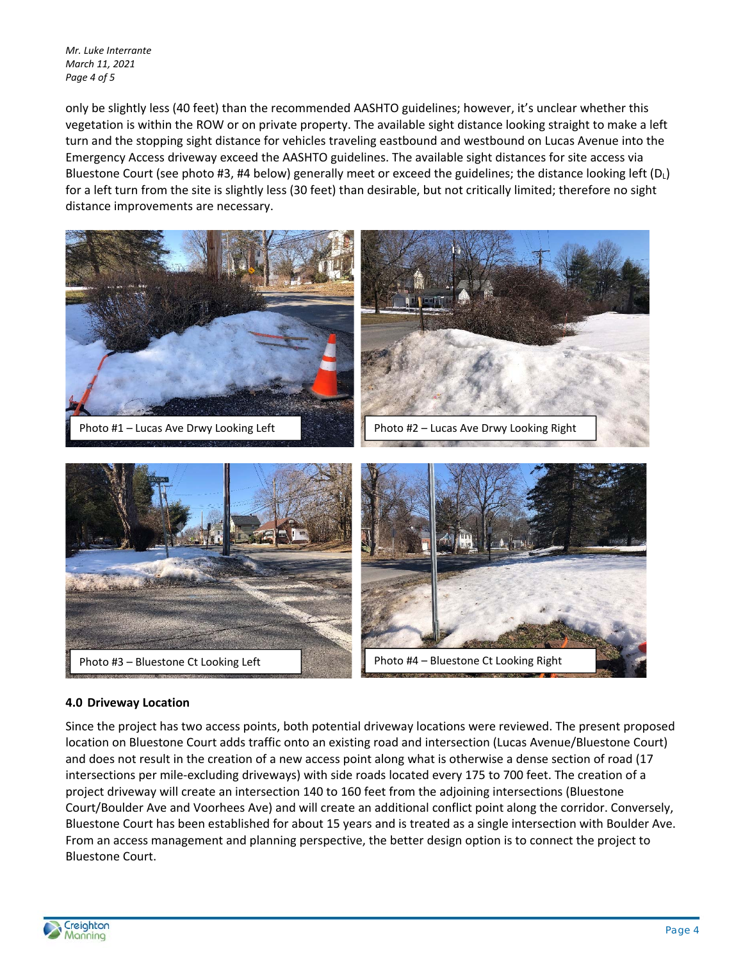*Mr. Luke Interrante March 11, 2021 Page 4 of 5* 

only be slightly less (40 feet) than the recommended AASHTO guidelines; however, it's unclear whether this vegetation is within the ROW or on private property. The available sight distance looking straight to make a left turn and the stopping sight distance for vehicles traveling eastbound and westbound on Lucas Avenue into the Emergency Access driveway exceed the AASHTO guidelines. The available sight distances for site access via Bluestone Court (see photo #3, #4 below) generally meet or exceed the guidelines; the distance looking left ( $D_L$ ) for a left turn from the site is slightly less (30 feet) than desirable, but not critically limited; therefore no sight distance improvements are necessary.



## **4.0 Driveway Location**

Since the project has two access points, both potential driveway locations were reviewed. The present proposed location on Bluestone Court adds traffic onto an existing road and intersection (Lucas Avenue/Bluestone Court) and does not result in the creation of a new access point along what is otherwise a dense section of road (17 intersections per mile‐excluding driveways) with side roads located every 175 to 700 feet. The creation of a project driveway will create an intersection 140 to 160 feet from the adjoining intersections (Bluestone Court/Boulder Ave and Voorhees Ave) and will create an additional conflict point along the corridor. Conversely, Bluestone Court has been established for about 15 years and is treated as a single intersection with Boulder Ave. From an access management and planning perspective, the better design option is to connect the project to Bluestone Court.